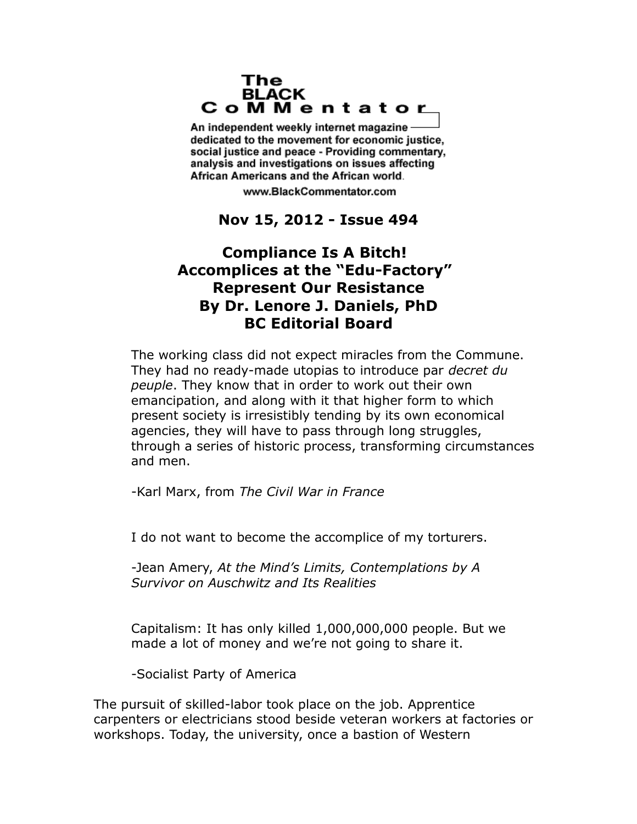#### The **BLACK** CoMMentator

An independent weekly internet magazine dedicated to the movement for economic justice. social justice and peace - Providing commentary, analysis and investigations on issues affecting African Americans and the African world.

www.BlackCommentator.com

## **Nov 15, 2012 - Issue 494**

# **Compliance Is A Bitch! Accomplices at the "Edu-Factory" Represent Our Resistance By Dr. Lenore J. Daniels, PhD BC Editorial Board**

The working class did not expect miracles from the Commune. They had no ready-made utopias to introduce par *decret du peuple*. They know that in order to work out their own emancipation, and along with it that higher form to which present society is irresistibly tending by its own economical agencies, they will have to pass through long struggles, through a series of historic process, transforming circumstances and men.

-Karl Marx, from *The Civil War in France*

I do not want to become the accomplice of my torturers.

-Jean Amery, *At the Mind's Limits, Contemplations by A Survivor on Auschwitz and Its Realities*

Capitalism: It has only killed 1,000,000,000 people. But we made a lot of money and we're not going to share it.

-Socialist Party of America

The pursuit of skilled-labor took place on the job. Apprentice carpenters or electricians stood beside veteran workers at factories or workshops. Today, the university, once a bastion of Western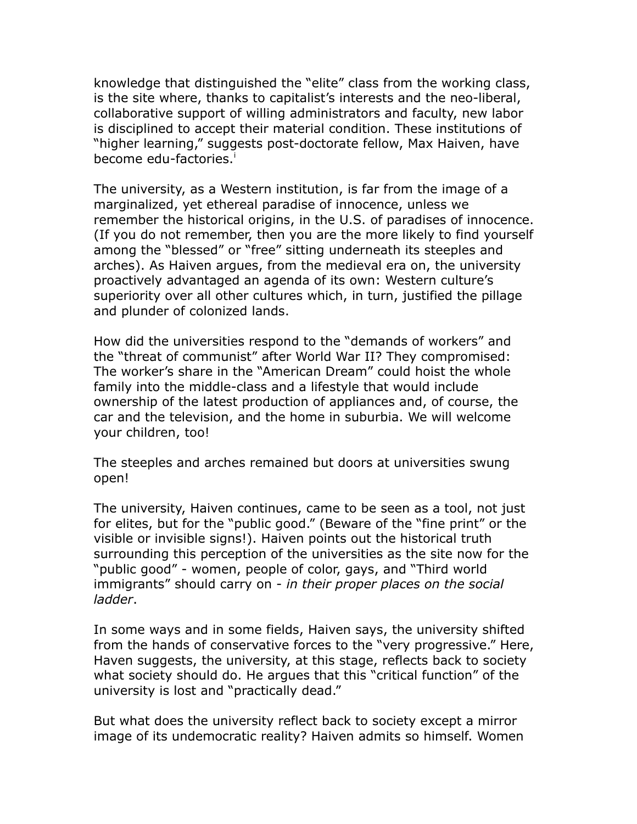knowledge that distinguished the "elite" class from the working class, is the site where, thanks to capitalist's interests and the neo-liberal, collaborative support of willing administrators and faculty, new labor is disciplined to accept their material condition. These institutions of "higher learning," suggests post-doctorate fellow, Max Haiven, have become edu-factor[i](#page-8-0)es.<sup>i</sup>

The university, as a Western institution, is far from the image of a marginalized, yet ethereal paradise of innocence, unless we remember the historical origins, in the U.S. of paradises of innocence. (If you do not remember, then you are the more likely to find yourself among the "blessed" or "free" sitting underneath its steeples and arches). As Haiven argues, from the medieval era on, the university proactively advantaged an agenda of its own: Western culture's superiority over all other cultures which, in turn, justified the pillage and plunder of colonized lands.

How did the universities respond to the "demands of workers" and the "threat of communist" after World War II? They compromised: The worker's share in the "American Dream" could hoist the whole family into the middle-class and a lifestyle that would include ownership of the latest production of appliances and, of course, the car and the television, and the home in suburbia. We will welcome your children, too!

The steeples and arches remained but doors at universities swung open!

The university, Haiven continues, came to be seen as a tool, not just for elites, but for the "public good." (Beware of the "fine print" or the visible or invisible signs!). Haiven points out the historical truth surrounding this perception of the universities as the site now for the "public good" - women, people of color, gays, and "Third world immigrants" should carry on - *in their proper places on the social ladder*.

In some ways and in some fields, Haiven says, the university shifted from the hands of conservative forces to the "very progressive." Here, Haven suggests, the university, at this stage, reflects back to society what society should do. He argues that this "critical function" of the university is lost and "practically dead."

But what does the university reflect back to society except a mirror image of its undemocratic reality? Haiven admits so himself. Women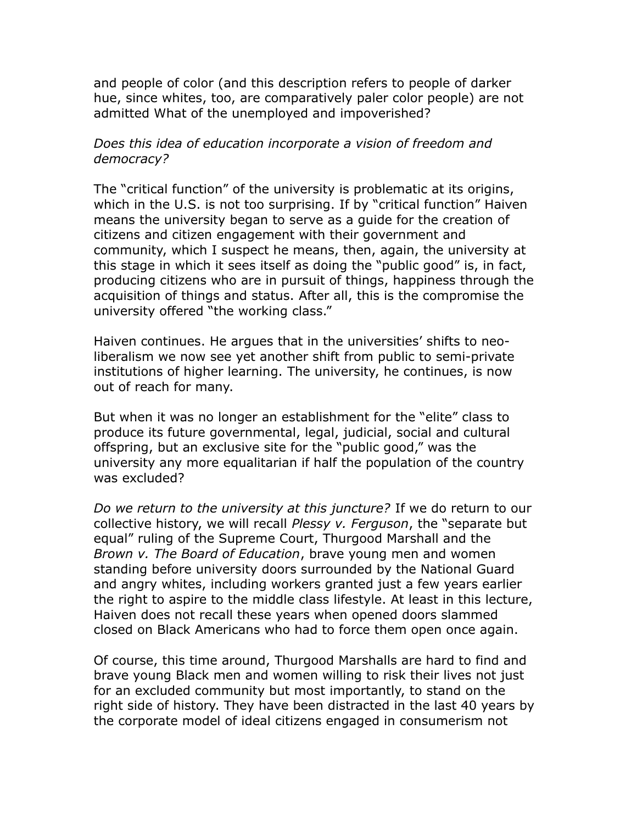and people of color (and this description refers to people of darker hue, since whites, too, are comparatively paler color people) are not admitted What of the unemployed and impoverished?

### *Does this idea of education incorporate a vision of freedom and democracy?*

The "critical function" of the university is problematic at its origins, which in the U.S. is not too surprising. If by "critical function" Haiven means the university began to serve as a guide for the creation of citizens and citizen engagement with their government and community, which I suspect he means, then, again, the university at this stage in which it sees itself as doing the "public good" is, in fact, producing citizens who are in pursuit of things, happiness through the acquisition of things and status. After all, this is the compromise the university offered "the working class."

Haiven continues. He argues that in the universities' shifts to neoliberalism we now see yet another shift from public to semi-private institutions of higher learning. The university, he continues, is now out of reach for many.

But when it was no longer an establishment for the "elite" class to produce its future governmental, legal, judicial, social and cultural offspring, but an exclusive site for the "public good," was the university any more equalitarian if half the population of the country was excluded?

*Do we return to the university at this juncture?* If we do return to our collective history, we will recall *Plessy v. Ferguson*, the "separate but equal" ruling of the Supreme Court, Thurgood Marshall and the *Brown v. The Board of Education*, brave young men and women standing before university doors surrounded by the National Guard and angry whites, including workers granted just a few years earlier the right to aspire to the middle class lifestyle. At least in this lecture, Haiven does not recall these years when opened doors slammed closed on Black Americans who had to force them open once again.

Of course, this time around, Thurgood Marshalls are hard to find and brave young Black men and women willing to risk their lives not just for an excluded community but most importantly, to stand on the right side of history. They have been distracted in the last 40 years by the corporate model of ideal citizens engaged in consumerism not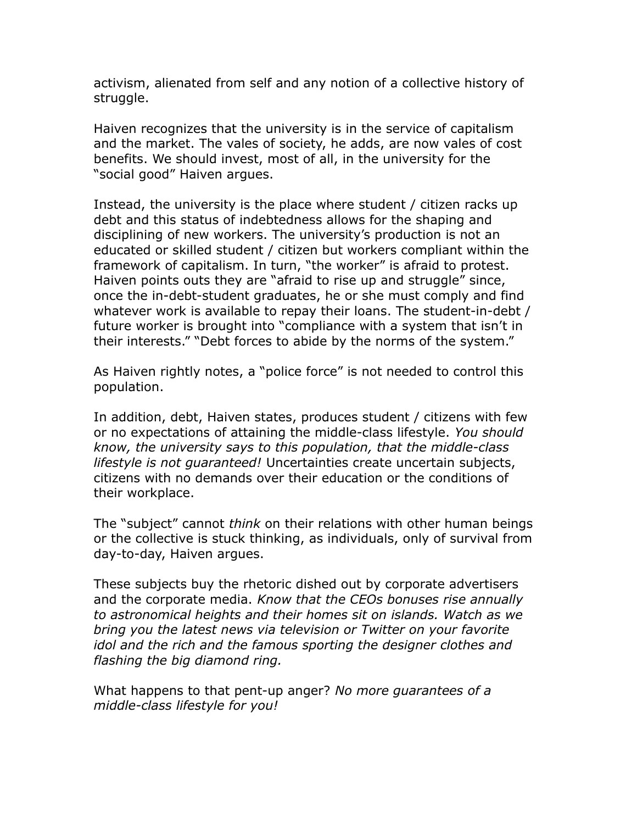activism, alienated from self and any notion of a collective history of struggle.

Haiven recognizes that the university is in the service of capitalism and the market. The vales of society, he adds, are now vales of cost benefits. We should invest, most of all, in the university for the "social good" Haiven argues.

Instead, the university is the place where student / citizen racks up debt and this status of indebtedness allows for the shaping and disciplining of new workers. The university's production is not an educated or skilled student / citizen but workers compliant within the framework of capitalism. In turn, "the worker" is afraid to protest. Haiven points outs they are "afraid to rise up and struggle" since, once the in-debt-student graduates, he or she must comply and find whatever work is available to repay their loans. The student-in-debt / future worker is brought into "compliance with a system that isn't in their interests." "Debt forces to abide by the norms of the system."

As Haiven rightly notes, a "police force" is not needed to control this population.

In addition, debt, Haiven states, produces student / citizens with few or no expectations of attaining the middle-class lifestyle. *You should know, the university says to this population, that the middle-class lifestyle is not guaranteed!* Uncertainties create uncertain subjects, citizens with no demands over their education or the conditions of their workplace.

The "subject" cannot *think* on their relations with other human beings or the collective is stuck thinking, as individuals, only of survival from day-to-day, Haiven argues.

These subjects buy the rhetoric dished out by corporate advertisers and the corporate media. *Know that the CEOs bonuses rise annually to astronomical heights and their homes sit on islands. Watch as we bring you the latest news via television or Twitter on your favorite idol and the rich and the famous sporting the designer clothes and flashing the big diamond ring.*

What happens to that pent-up anger? *No more guarantees of a middle-class lifestyle for you!*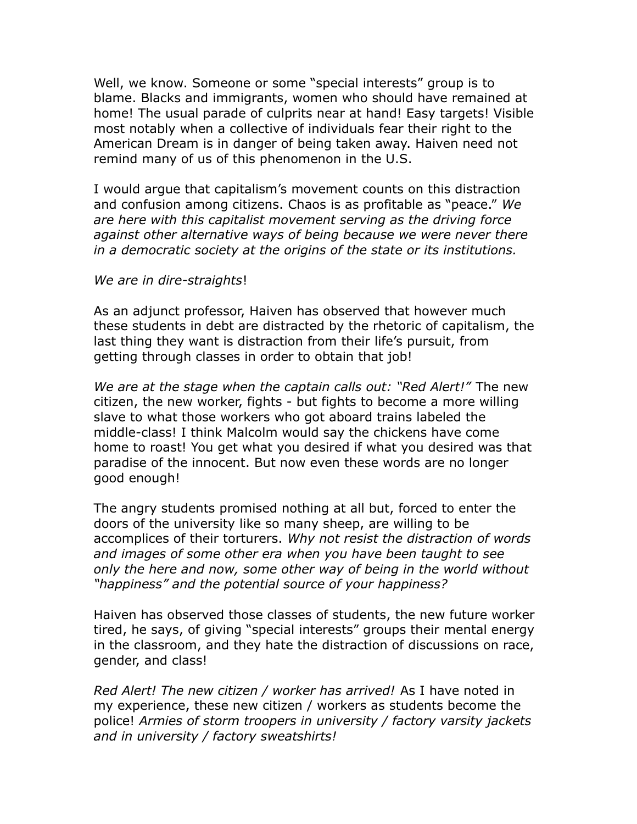Well, we know. Someone or some "special interests" group is to blame. Blacks and immigrants, women who should have remained at home! The usual parade of culprits near at hand! Easy targets! Visible most notably when a collective of individuals fear their right to the American Dream is in danger of being taken away. Haiven need not remind many of us of this phenomenon in the U.S.

I would argue that capitalism's movement counts on this distraction and confusion among citizens. Chaos is as profitable as "peace." *We are here with this capitalist movement serving as the driving force against other alternative ways of being because we were never there in a democratic society at the origins of the state or its institutions.*

#### *We are in dire-straights*!

As an adjunct professor, Haiven has observed that however much these students in debt are distracted by the rhetoric of capitalism, the last thing they want is distraction from their life's pursuit, from getting through classes in order to obtain that job!

*We are at the stage when the captain calls out: "Red Alert!"* The new citizen, the new worker, fights - but fights to become a more willing slave to what those workers who got aboard trains labeled the middle-class! I think Malcolm would say the chickens have come home to roast! You get what you desired if what you desired was that paradise of the innocent. But now even these words are no longer good enough!

The angry students promised nothing at all but, forced to enter the doors of the university like so many sheep, are willing to be accomplices of their torturers. *Why not resist the distraction of words and images of some other era when you have been taught to see only the here and now, some other way of being in the world without "happiness" and the potential source of your happiness?*

Haiven has observed those classes of students, the new future worker tired, he says, of giving "special interests" groups their mental energy in the classroom, and they hate the distraction of discussions on race, gender, and class!

*Red Alert! The new citizen / worker has arrived!* As I have noted in my experience, these new citizen / workers as students become the police! *Armies of storm troopers in university / factory varsity jackets and in university / factory sweatshirts!*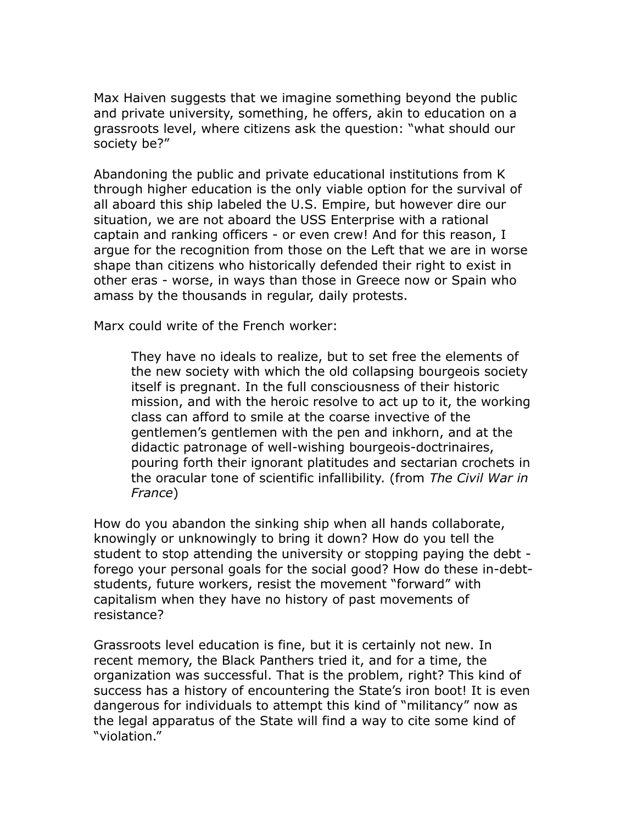Max Haiven suggests that we imagine something beyond the public and private university, something, he offers, akin to education on a grassroots level, where citizens ask the question: "what should our society be?"

Abandoning the public and private educational institutions from K through higher education is the only viable option for the survival of all aboard this ship labeled the U.S. Empire, but however dire our situation, we are not aboard the USS Enterprise with a rational captain and ranking officers - or even crew! And for this reason, I argue for the recognition from those on the Left that we are in worse shape than citizens who historically defended their right to exist in other eras - worse, in ways than those in Greece now or Spain who amass by the thousands in regular, daily protests.

Marx could write of the French worker:

They have no ideals to realize, but to set free the elements of the new society with which the old collapsing bourgeois society itself is pregnant. In the full consciousness of their historic mission, and with the heroic resolve to act up to it, the working class can afford to smile at the coarse invective of the gentlemen's gentlemen with the pen and inkhorn, and at the didactic patronage of well-wishing bourgeois-doctrinaires, pouring forth their ignorant platitudes and sectarian crochets in the oracular tone of scientific infallibility. (from *The Civil War in France*)

How do you abandon the sinking ship when all hands collaborate, knowingly or unknowingly to bring it down? How do you tell the student to stop attending the university or stopping paying the debt forego your personal goals for the social good? How do these in-debtstudents, future workers, resist the movement "forward" with capitalism when they have no history of past movements of resistance?

Grassroots level education is fine, but it is certainly not new. In recent memory, the Black Panthers tried it, and for a time, the organization was successful. That is the problem, right? This kind of success has a history of encountering the State's iron boot! It is even dangerous for individuals to attempt this kind of "militancy" now as the legal apparatus of the State will find a way to cite some kind of "violation."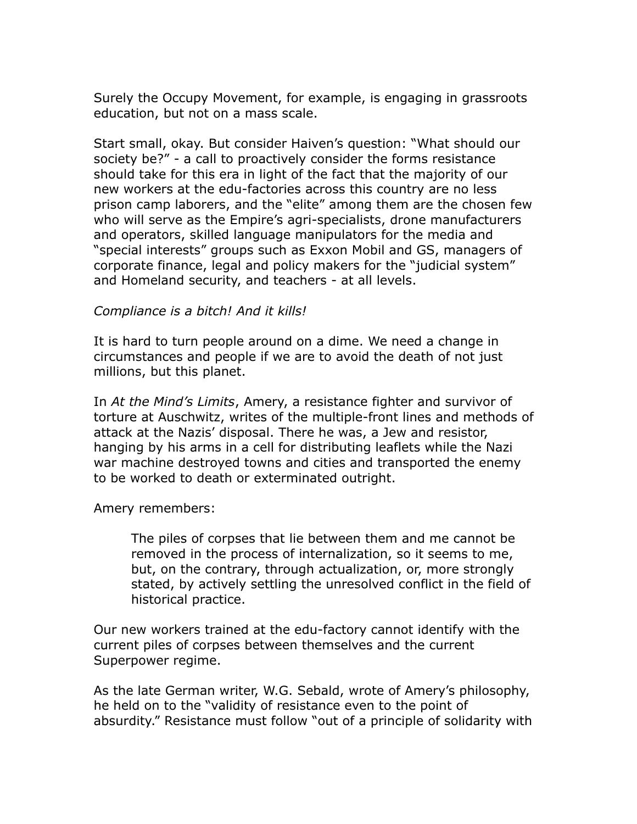Surely the Occupy Movement, for example, is engaging in grassroots education, but not on a mass scale.

Start small, okay. But consider Haiven's question: "What should our society be?" - a call to proactively consider the forms resistance should take for this era in light of the fact that the majority of our new workers at the edu-factories across this country are no less prison camp laborers, and the "elite" among them are the chosen few who will serve as the Empire's agri-specialists, drone manufacturers and operators, skilled language manipulators for the media and "special interests" groups such as Exxon Mobil and GS, managers of corporate finance, legal and policy makers for the "judicial system" and Homeland security, and teachers - at all levels.

### *Compliance is a bitch! And it kills!*

It is hard to turn people around on a dime. We need a change in circumstances and people if we are to avoid the death of not just millions, but this planet.

In *At the Mind's Limits*, Amery, a resistance fighter and survivor of torture at Auschwitz, writes of the multiple-front lines and methods of attack at the Nazis' disposal. There he was, a Jew and resistor, hanging by his arms in a cell for distributing leaflets while the Nazi war machine destroyed towns and cities and transported the enemy to be worked to death or exterminated outright.

#### Amery remembers:

The piles of corpses that lie between them and me cannot be removed in the process of internalization, so it seems to me, but, on the contrary, through actualization, or, more strongly stated, by actively settling the unresolved conflict in the field of historical practice.

Our new workers trained at the edu-factory cannot identify with the current piles of corpses between themselves and the current Superpower regime.

As the late German writer, W.G. Sebald, wrote of Amery's philosophy, he held on to the "validity of resistance even to the point of absurdity." Resistance must follow "out of a principle of solidarity with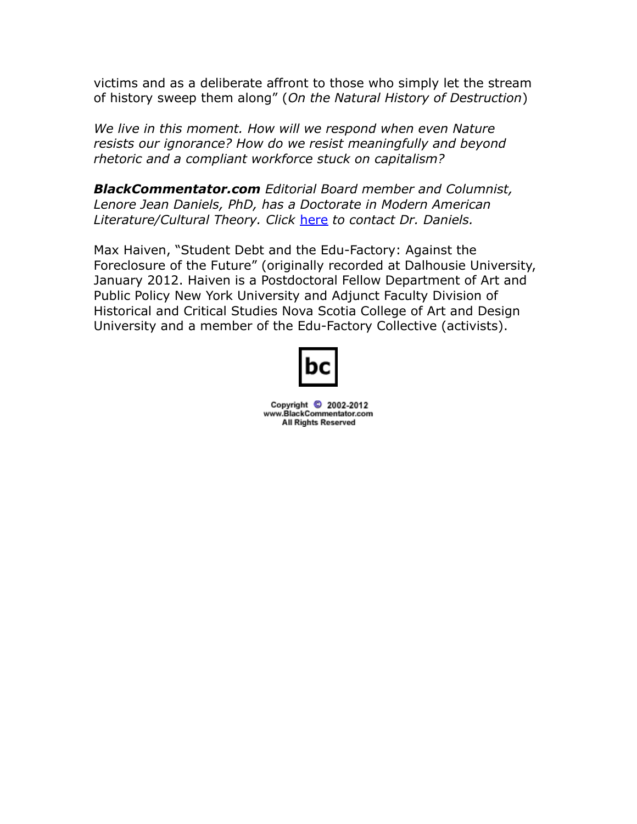victims and as a deliberate affront to those who simply let the stream of history sweep them along" (*On the Natural History of Destruction*)

*We live in this moment. How will we respond when even Nature resists our ignorance? How do we resist meaningfully and beyond rhetoric and a compliant workforce stuck on capitalism?*

*BlackCommentator.com Editorial Board member and Columnist, Lenore Jean Daniels, PhD, has a Doctorate in Modern American Literature/Cultural Theory. Click* [here](http://www.blackcommentator.com/contact_forms/jean_daniels/gbcf_form.php) *to contact Dr. Daniels.*

Max Haiven, "Student Debt and the Edu-Factory: Against the Foreclosure of the Future" (originally recorded at Dalhousie University, January 2012. Haiven is a Postdoctoral Fellow Department of Art and Public Policy New York University and Adjunct Faculty Division of Historical and Critical Studies Nova Scotia College of Art and Design University and a member of the Edu-Factory Collective (activists).



Copyright © 2002-2012 www.BlackCommentator.com **All Rights Reserved**